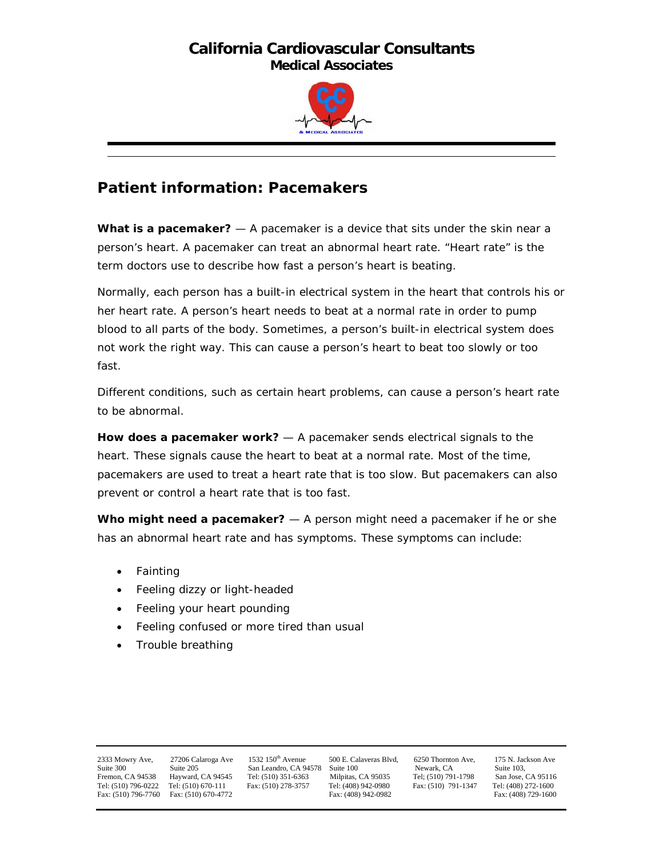## **California Cardiovascular Consultants Medical Associates**



## **Patient information: Pacemakers**

**What is a pacemaker?** — A pacemaker is a device that sits under the skin near a person's heart. A pacemaker can treat an abnormal heart rate. "Heart rate" is the term doctors use to describe how fast a person's heart is beating.

Normally, each person has a built-in electrical system in the heart that controls his or her heart rate. A person's heart needs to beat at a normal rate in order to pump blood to all parts of the body. Sometimes, a person's built-in electrical system does not work the right way. This can cause a person's heart to beat too slowly or too fast.

Different conditions, such as certain heart problems, can cause a person's heart rate to be abnormal.

**How does a pacemaker work?** — A pacemaker sends electrical signals to the heart. These signals cause the heart to beat at a normal rate. Most of the time, pacemakers are used to treat a heart rate that is too slow. But pacemakers can also prevent or control a heart rate that is too fast.

**Who might need a pacemaker?** — A person might need a pacemaker if he or she has an abnormal heart rate and has symptoms. These symptoms can include:

- Fainting
- Feeling dizzy or light-headed
- Feeling your heart pounding
- Feeling confused or more tired than usual
- Trouble breathing

Fax: (510) 670-4772

27206 Calaroga Ave  $1532 \times 150^{th}$  Avenue  $500$  E. Calaveras Blvd,  $6250$  Thornton Ave,  $175$  N. Jackson Ave Suite 205 San Leandro, CA 94578 Suite 100 Newark, CA Suite 103, Suite 300 Suite 200 Suite 200 Suite 205, Suite 205, Suite 205, Suite 205, Suite 205, Suite 205, CA 95116 Suite 205, CA 95116 Suite 2010 Suite 2010 Suite 2010 Suite 2010 Suite 2010 Suite 2010 Suite 2010 Suite 2010 Suite 201 Fremon, CA 94538 Hayward, CA 94545 Tel: (510) 351-6363 Milpitas, CA 95035 Tel; (510) 791-1798 San Jose, CA 95116 Tel: (408) 942-0980 Fax: (510) 791-1347 Tel: (408) 272-1600<br>Fax: (408) 942-0982 Fax: (408) 729-1600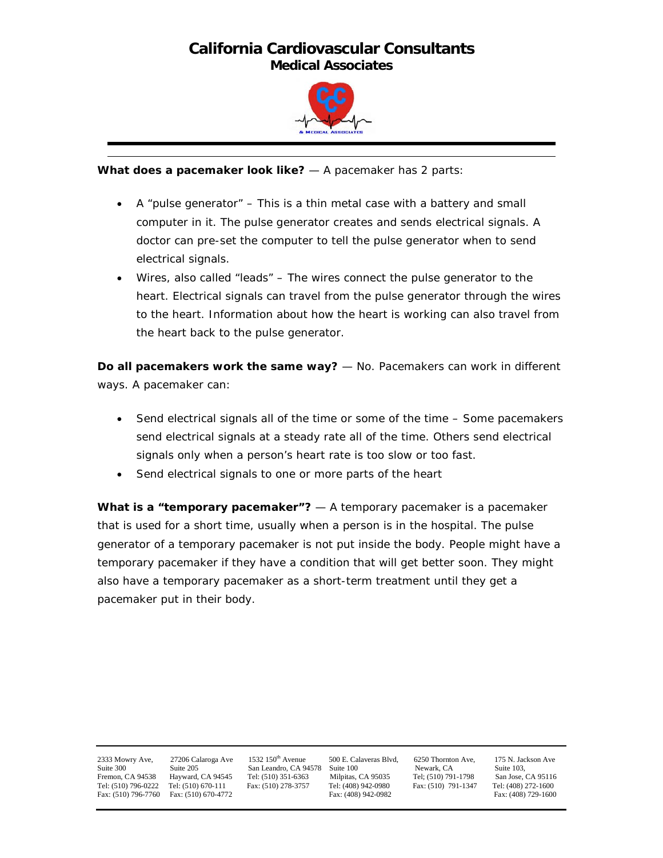## **California Cardiovascular Consultants Medical Associates**



**What does a pacemaker look like?** — A pacemaker has 2 parts:

- A "pulse generator" This is a thin metal case with a battery and small computer in it. The pulse generator creates and sends electrical signals. A doctor can pre-set the computer to tell the pulse generator when to send electrical signals.
- Wires, also called "leads" The wires connect the pulse generator to the heart. Electrical signals can travel from the pulse generator through the wires to the heart. Information about how the heart is working can also travel from the heart back to the pulse generator.

**Do all pacemakers work the same way?** — No. Pacemakers can work in different ways. A pacemaker can:

- Send electrical signals all of the time or some of the time Some pacemakers send electrical signals at a steady rate all of the time. Others send electrical signals only when a person's heart rate is too slow or too fast.
- Send electrical signals to one or more parts of the heart

**What is a "temporary pacemaker"?** — A temporary pacemaker is a pacemaker that is used for a short time, usually when a person is in the hospital. The pulse generator of a temporary pacemaker is not put inside the body. People might have a temporary pacemaker if they have a condition that will get better soon. They might also have a temporary pacemaker as a short-term treatment until they get a pacemaker put in their body.

Fax: (510) 796-7760 Fax: (510) 670-4772

2333 Mowry Ave, 27206 Calaroga Ave 1532 150<sup>th</sup> Avenue 500 E. Calaveras Blvd, 6250 Thornton Ave, 175 N. Jackson Ave<br>
2015 Suite 205 San Leandro, CA 94578 Suite 100 Newark, CA Suite 103, Suite 300 Suite 200 Suite 205, Suite 205, Suite 205, Suite 205, Suite 205, Suite 205, Suite 205, CA 95116 Suite 103, Suite 103, Suite 103, Suite 103, Suite 103, Suite 103, Suite 103, Suite 103, Suite 103, Suite 103, Suite Fremon, CA 94538 Hayward, CA 94545 Tel: (510) 351-6363 Milpitas, CA 95035 Tel; (510) 791-1798 San Jose, CA 95116 Tel: (510) 796-0222 Tel: (510) 670-111 Fax: (510) 278-3757 Tel: (408) 942-0980 Fax: (510) 791-1347 Tel: (408) 272-1600<br>Fax: (510) 791-1347 Tel: (408) 972-1600 Fax: (510) 791-1347 Tel: (408) 272-1600